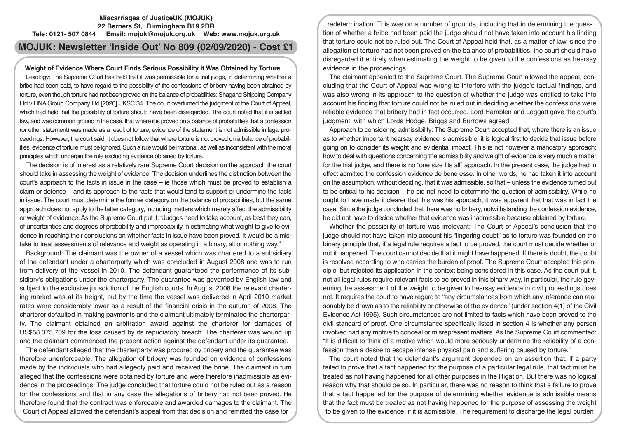## **Miscarriages of JusticeUK (MOJUK) 22 Berners St, Birmingham B19 2DR Tele: 0121- 507 0844 Email: mojuk@mojuk.org.uk Web: www.mojuk.org.uk**

# **MOJUK: Newsletter 'Inside Out' No 809 (02/09/2020) - Cost £1**

## **Weight of Evidence Where Court Finds Serious Possibility it Was Obtained by Torture**

Lexology: The Supreme Court has held that it was permissible for a trial judge, in determining whether a bribe had been paid, to have regard to the possibility of the confessions of bribery having been obtained by torture, even though torture had not been proved on the balance of probabilities: Shagang Shipping Company Ltd v HNA Group Company Ltd [2020] UKSC 34. The court overturned the judgment of the Court of Appeal, which had held that the possibility of torture should have been disregarded. The court noted that it is settled law, and was common ground in the case, that where it is proved on a balance of probabilities that a confession (or other statement) was made as a result of torture, evidence of the statement is not admissible in legal proceedings. However, the court said, it does not follow that where torture is not proved on a balance of probabilities, evidence of torture must be ignored. Such a rule would be irrational, as well as inconsistent with the moral principles which underpin the rule excluding evidence obtained by torture.

The decision is of interest as a relatively rare Supreme Court decision on the approach the court should take in assessing the weight of evidence. The decision underlines the distinction between the court's approach to the facts in issue in the case – ie those which must be proved to establish a claim or defence – and its approach to the facts that would tend to support or undermine the facts in issue. The court must determine the former category on the balance of probabilities, but the same approach does not apply to the latter category, including matters which merely affect the admissibility or weight of evidence. As the Supreme Court put it: "Judges need to take account, as best they can, of uncertainties and degrees of probability and improbability in estimating what weight to give to evidence in reaching their conclusions on whether facts in issue have been proved. It would be a mistake to treat assessments of relevance and weight as operating in a binary, all or nothing way."

Background: The claimant was the owner of a vessel which was chartered to a subsidiary of the defendant under a charterparty which was concluded in August 2008 and was to run from delivery of the vessel in 2010. The defendant guaranteed the performance of its subsidiary's obligations under the charterparty. The guarantee was governed by English law and subject to the exclusive jurisdiction of the English courts. In August 2008 the relevant chartering market was at its height, but by the time the vessel was delivered in April 2010 market rates were considerably lower as a result of the financial crisis in the autumn of 2008. The charterer defaulted in making payments and the claimant ultimately terminated the charterparty. The claimant obtained an arbitration award against the charterer for damages of US\$58,375,709 for the loss caused by its repudiatory breach. The charterer was wound up and the claimant commenced the present action against the defendant under its guarantee.

The defendant alleged that the charterparty was procured by bribery and the guarantee was therefore unenforceable. The allegation of bribery was founded on evidence of confessions made by the individuals who had allegedly paid and received the bribe. The claimant in turn alleged that the confessions were obtained by torture and were therefore inadmissible as evidence in the proceedings. The judge concluded that torture could not be ruled out as a reason for the confessions and that in any case the allegations of bribery had not been proved. He therefore found that the contract was enforceable and awarded damages to the claimant. The Court of Appeal allowed the defendant's appeal from that decision and remitted the case for

redetermination. This was on a number of grounds, including that in determining the question of whether a bribe had been paid the judge should not have taken into account his finding that torture could not be ruled out. The Court of Appeal held that, as a matter of law, since the allegation of torture had not been proved on the balance of probabilities, the court should have disregarded it entirely when estimating the weight to be given to the confessions as hearsay evidence in the proceedings.

The claimant appealed to the Supreme Court. The Supreme Court allowed the appeal, concluding that the Court of Appeal was wrong to interfere with the judge's factual findings, and was also wrong in its approach to the question of whether the judge was entitled to take into account his finding that torture could not be ruled out in deciding whether the confessions were reliable evidence that bribery had in fact occurred. Lord Hamblen and Leggatt gave the court's judgment, with which Lords Hodge, Briggs and Burrows agreed.

Approach to considering admissibility: The Supreme Court accepted that, where there is an issue as to whether important hearsay evidence is admissible, it is logical first to decide that issue before going on to consider its weight and evidential impact. This is not however a mandatory approach: how to deal with questions concerning the admissibility and weight of evidence is very much a matter for the trial judge, and there is no "one size fits all" approach. In the present case, the judge had in effect admitted the confession evidence de bene esse. In other words, he had taken it into account on the assumption, without deciding, that it was admissible, so that – unless the evidence turned out to be critical to his decision – he did not need to determine the question of admissibility. While he ought to have made it clearer that this was his approach, it was apparent that that was in fact the case. Since the judge concluded that there was no bribery, notwithstanding the confession evidence, he did not have to decide whether that evidence was inadmissible because obtained by torture.

Whether the possibility of torture was irrelevant: The Court of Appeal's conclusion that the judge should not have taken into account his "lingering doubt" as to torture was founded on the binary principle that, if a legal rule requires a fact to be proved, the court must decide whether or not it happened. The court cannot decide that it might have happened. If there is doubt, the doubt is resolved according to who carries the burden of proof. The Supreme Court accepted this principle, but rejected its application in the context being considered in this case. As the court put it, not all legal rules require relevant facts to be proved in this binary way. In particular, the rule governing the assessment of the weight to be given to hearsay evidence in civil proceedings does not. It requires the court to have regard to "any circumstances from which any inference can reasonably be drawn as to the reliability or otherwise of the evidence" (under section 4(1) of the Civil Evidence Act 1995). Such circumstances are not limited to facts which have been proved to the civil standard of proof. One circumstance specifically listed in section 4 is whether any person involved had any motive to conceal or misrepresent matters. As the Supreme Court commented: "It is difficult to think of a motive which would more seriously undermine the reliability of a confession than a desire to escape intense physical pain and suffering caused by torture."

The court noted that the defendant's argument depended on an assertion that, if a party failed to prove that a fact happened for the purpose of a particular legal rule, that fact must be treated as not having happened for all other purposes in the litigation. But there was no logical reason why that should be so. In particular, there was no reason to think that a failure to prove that a fact happened for the purpose of determining whether evidence is admissible means that the fact must be treated as not having happened for the purpose of assessing the weight to be given to the evidence, if it is admissible. The requirement to discharge the legal burden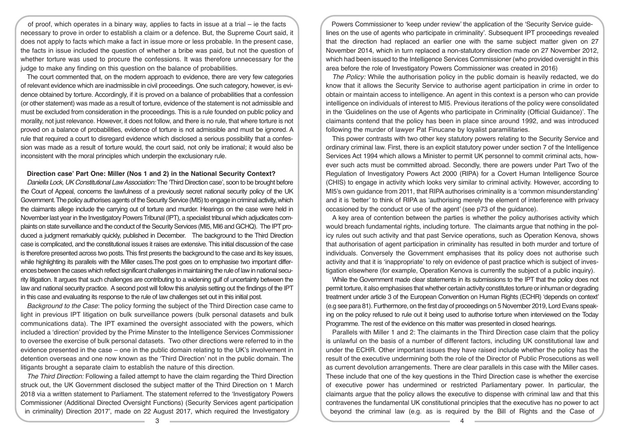of proof, which operates in a binary way, applies to facts in issue at a trial – ie the facts necessary to prove in order to establish a claim or a defence. But, the Supreme Court said, it does not apply to facts which make a fact in issue more or less probable. In the present case, the facts in issue included the question of whether a bribe was paid, but not the question of whether torture was used to procure the confessions. It was therefore unnecessary for the judge to make any finding on this question on the balance of probabilities.

The court commented that, on the modern approach to evidence, there are very few categories of relevant evidence which are inadmissible in civil proceedings. One such category, however, is evidence obtained by torture. Accordingly, if it is proved on a balance of probabilities that a confession (or other statement) was made as a result of torture, evidence of the statement is not admissible and must be excluded from consideration in the proceedings. This is a rule founded on public policy and morality, not just relevance. However, it does not follow, and there is no rule, that where torture is not proved on a balance of probabilities, evidence of torture is not admissible and must be ignored. A rule that required a court to disregard evidence which disclosed a serious possibility that a confession was made as a result of torture would, the court said, not only be irrational; it would also be inconsistent with the moral principles which underpin the exclusionary rule.

## **Direction case' Part One: Miller (Nos 1 and 2) in the National Security Context?**

*Daniella Lock, UK Constitutional Law Association:* The 'Third Direction case', soon to be brought before the Court of Appeal, concerns the lawfulness of a previously secret national security policy of the UK Government. The policy authorises agents of the Security Service (MI5) to engage in criminal activity, which the claimants allege include the carrying out of torture and murder. Hearings on the case were held in November last year in the Investigatory Powers Tribunal (IPT), a specialist tribunal which adjudicates complaints on state surveillance and the conduct of the Security Services (MI5, MI6 and GCHQ). The IPT produced a judgment remarkably quickly, published in December. The background to the Third Direction case is complicated, and the constitutional issues it raises are extensive. This initial discussion of the case is therefore presented across two posts. This first presents the background to the case and its key issues, while highlighting its parallels with the Miller cases.The post goes on to emphasise two important differences between the cases which reflect significant challenges in maintaining the rule of law in national security litigation. It argues that such challenges are contributing to a widening gulf of uncertainty between the law and national security practice. A second post will follow this analysis setting out the findings of the IPT in this case and evaluating its response to the rule of law challenges set out in this initial post.

*Background to the Case*: The policy forming the subject of the Third Direction case came to light in previous IPT litigation on bulk surveillance powers (bulk personal datasets and bulk communications data). The IPT examined the oversight associated with the powers, which included a 'direction' provided by the Prime Minster to the Intelligence Services Commissioner to oversee the exercise of bulk personal datasets. Two other directions were referred to in the evidence presented in the case – one in the public domain relating to the UK's involvement in detention overseas and one now known as the 'Third Direction' not in the public domain. The litigants brought a separate claim to establish the nature of this direction.

*The Third Direction:* Following a failed attempt to have the claim regarding the Third Direction struck out, the UK Government disclosed the subject matter of the Third Direction on 1 March 2018 via a written statement to Parliament. The statement referred to the 'Investigatory Powers Commissioner (Additional Directed Oversight Functions) (Security Services agent participation in criminality) Direction 2017', made on 22 August 2017, which required the Investigatory

Powers Commissioner to 'keep under review' the application of the 'Security Service guidelines on the use of agents who participate in criminality'. Subsequent IPT proceedings revealed that the direction had replaced an earlier one with the same subject matter given on 27 November 2014, which in turn replaced a non-statutory direction made on 27 November 2012, which had been issued to the Intelligence Services Commissioner (who provided oversight in this area before the role of Investigatory Powers Commissioner was created in 2016)

*The Policy:* While the authorisation policy in the public domain is heavily redacted, we do know that it allows the Security Service to authorise agent participation in crime in order to obtain or maintain access to intelligence. An agent in this context is a person who can provide intelligence on individuals of interest to MI5. Previous iterations of the policy were consolidated in the 'Guidelines on the use of Agents who participate in Criminality (Official Guidance)'. The claimants contend that the policy has been in place since around 1992, and was introduced following the murder of lawyer Pat Finucane by loyalist paramilitaries.

This power contrasts with two other key statutory powers relating to the Security Service and ordinary criminal law. First, there is an explicit statutory power under section 7 of the Intelligence Services Act 1994 which allows a Minister to permit UK personnel to commit criminal acts, however such acts must be committed abroad. Secondly, there are powers under Part Two of the Regulation of Investigatory Powers Act 2000 (RIPA) for a Covert Human Intelligence Source (CHIS) to engage in activity which looks very similar to criminal activity. However, according to MI5's own guidance from 2011, that RIPA authorises criminality is a 'common misunderstanding' and it is 'better' to think of RIPA as 'authorising merely the element of interference with privacy occasioned by the conduct or use of the agent' (see p73 of the guidance).

A key area of contention between the parties is whether the policy authorises activity which would breach fundamental rights, including torture. The claimants argue that nothing in the policy rules out such activity and that past Service operations, such as Operation Kenova, shows that authorisation of agent participation in criminality has resulted in both murder and torture of individuals. Conversely the Government emphasises that its policy does not authorise such activity and that it is 'inappropriate' to rely on evidence of past practice which is subject of investigation elsewhere (for example, Operation Kenova is currently the subject of a public inquiry).

While the Government made clear statements in its submissions to the IPT that the policy does not permit torture, it also emphasises that whether certain activity constitutes torture or inhuman or degrading treatment under article 3 of the European Convention on Human Rights (ECHR) 'depends on context' (e.g see para 81). Furthermore, on the first day of proceedings on 5 November 2019, Lord Evans speaking on the policy refused to rule out it being used to authorise torture when interviewed on the Today Programme. The rest of the evidence on this matter was presented in closed hearings.

Parallels with Miller 1 and 2: The claimants in the Third Direction case claim that the policy is unlawful on the basis of a number of different factors, including UK constitutional law and under the ECHR. Other important issues they have raised include whether the policy has the result of the executive undermining both the role of the Director of Public Prosecutions as well as current devolution arrangements. There are clear parallels in this case with the Miller cases. These include that one of the key questions in the Third Direction case is whether the exercise of executive power has undermined or restricted Parliamentary power. In particular, the claimants argue that the policy allows the executive to dispense with criminal law and that this contravenes the fundamental UK constitutional principles that the executive has no power to act beyond the criminal law (e.g. as is required by the Bill of Rights and the Case of

 $\overline{3}$   $\overline{4}$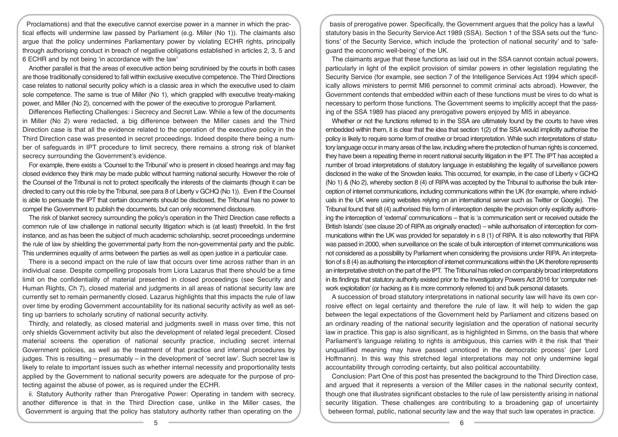Proclamations) and that the executive cannot exercise power in a manner in which the practical effects will undermine law passed by Parliament (e.g. Miller (No 1)). The claimants also argue that the policy undermines Parliamentary power by violating ECHR rights, principally through authorising conduct in breach of negative obligations established in articles 2, 3, 5 and 6 ECHR and by not being 'in accordance with the law'

Another parallel is that the areas of executive action being scrutinised by the courts in both cases are those traditionally considered to fall within exclusive executive competence. The Third Directions case relates to national security policy which is a classic area in which the executive used to claim sole competence. The same is true of Miller (No 1), which grappled with executive treaty-making power, and Miller (No 2), concerned with the power of the executive to prorogue Parliament.

Differences Reflecting Challenges: i Secrecy and Secret Law. While a few of the documents in Miller (No 2) were redacted, a big difference between the Miller cases and the Third Direction case is that all the evidence related to the operation of the executive policy in the Third Direction case was presented in secret proceedings. Indeed despite there being a number of safeguards in IPT procedure to limit secrecy, there remains a strong risk of blanket secrecy surrounding the Government's evidence.

For example, there exists a 'Counsel to the Tribunal' who is present in closed hearings and may flag closed evidence they think may be made public without harming national security. However the role of the Counsel of the Tribunal is not to protect specifically the interests of the claimants (though it can be directed to carry out this role by the Tribunal, see para 8 of Liberty v GCHQ (No 1)). Even if the Counsel is able to persuade the IPT that certain documents should be disclosed, the Tribunal has no power to compel the Government to publish the documents, but can only recommend disclosure.

The risk of blanket secrecy surrounding the policy's operation in the Third Direction case reflects a common rule of law challenge in national security litigation which is (at least) threefold. In the first instance, and as has been the subject of much academic scholarship, secret proceedings undermine the rule of law by shielding the governmental party from the non-governmental party and the public. This undermines equality of arms between the parties as well as open justice in a particular case.

There is a second impact on the rule of law that occurs over time across rather than in an individual case. Despite compelling proposals from Liora Lazarus that there should be a time limit on the confidentiality of material presented in closed proceedings (see Security and Human Rights, Ch 7), closed material and judgments in all areas of national security law are currently set to remain permanently closed. Lazarus highlights that this impacts the rule of law over time by eroding Government accountability for its national security activity as well as setting up barriers to scholarly scrutiny of national security activity.

Thirdly, and relatedly, as closed material and judgments swell in mass over time, this not only shields Government activity but also the development of related legal precedent. Closed material screens the operation of national security practice, including secret internal Government policies, as well as the treatment of that practice and internal procedures by judges. This is resulting – presumably – in the development of 'secret law'. Such secret law is likely to relate to important issues such as whether internal necessity and proportionality tests applied by the Government to national security powers are adequate for the purpose of protecting against the abuse of power, as is required under the ECHR.

ii. Statutory Authority rather than Prerogative Power: Operating in tandem with secrecy, another difference is that in the Third Direction case, unlike in the Miller cases, the Government is arguing that the policy has statutory authority rather than operating on the

basis of prerogative power. Specifically, the Government argues that the policy has a lawful statutory basis in the Security Service Act 1989 (SSA). Section 1 of the SSA sets out the 'functions' of the Security Service, which include the 'protection of national security' and to 'safeguard the economic well-being' of the UK.

The claimants argue that these functions as laid out in the SSA cannot contain actual powers, particularly in light of the explicit provision of similar powers in other legislation regulating the Security Service (for example, see section 7 of the Intelligence Services Act 1994 which specifically allows ministers to permit MI6 personnel to commit criminal acts abroad). However, the Government contends that embedded within each of these functions must be vires to do what is necessary to perform those functions. The Government seems to implicitly accept that the passing of the SSA 1989 has placed any prerogative powers enjoyed by MI5 in abeyance.

Whether or not the functions referred to in the SSA are ultimately found by the courts to have vires embedded within them, it is clear that the idea that section 1(2) of the SSA would implicitly authorise the policy is likely to require some form of creative or broad interpretation. While such interpretations of statutory language occur in many areas of the law, including where the protection of human rights is concerned, they have been a repeating theme in recent national security litigation in the IPT. The IPT has accepted a number of broad interpretations of statutory language in establishing the legality of surveillance powers disclosed in the wake of the Snowden leaks. This occurred, for example, in the case of Liberty v GCHQ (No 1) & (No 2), whereby section 8 (4) of RIPA was accepted by the Tribunal to authorise the bulk interception of internet communications, including communications within the UK (for example, where individuals in the UK were using websites relying on an international server such as Twitter or Google). The Tribunal found that s8 (4) authorised this form of interception despite the provision only explicitly authorising the interception of 'external' communications – that is 'a communication sent or received outside the British Islands' (see clause 20 of RIPA as originally enacted) – while authorisation of interception for communications within the UK was provided for separately in s 8 (1) of RIPA. It is also noteworthy that RIPA was passed in 2000, when surveillance on the scale of bulk interception of internet communications was not considered as a possibility by Parliament when considering the provisions under RIPA. An interpretation of s 8 (4) as authorising the interception of internet communications within the UK therefore represents an interpretative stretch on the part of the IPT. The Tribunal has relied on comparably broad interpretations in its findings that statutory authority existed prior to the Investigatory Powers Act 2016 for 'computer network exploitation' (or hacking as it is more commonly referred to) and bulk personal datasets.

A succession of broad statutory interpretations in national security law will have its own corrosive effect on legal certainty and therefore the rule of law. It will help to widen the gap between the legal expectations of the Government held by Parliament and citizens based on an ordinary reading of the national security legislation and the operation of national security law in practice. This gap is also significant, as is highlighted in Simms, on the basis that where Parliament's language relating to rights is ambiguous, this carries with it the risk that 'their unqualified meaning may have passed unnoticed in the democratic process' (per Lord Hoffmann). In this way this stretched legal interpretations may not only undermine legal accountability through corroding certainty, but also political accountability.

Conclusion: Part One of this post has presented the background to the Third Direction case, and argued that it represents a version of the Miller cases in the national security context, though one that illustrates significant obstacles to the rule of law persistently arising in national security litigation. These challenges are contributing to a broadening gap of uncertainty between formal, public, national security law and the way that such law operates in practice.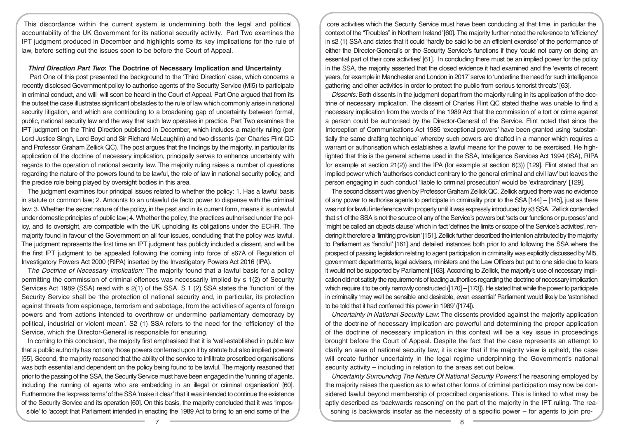This discordance within the current system is undermining both the legal and political accountability of the UK Government for its national security activity. Part Two examines the IPT judgment produced in December and highlights some its key implications for the rule of law, before setting out the issues soon to be before the Court of Appeal.

#### *Third Direction Part Two***: The Doctrine of Necessary Implication and Uncertainty**

 Part One of this post presented the background to the 'Third Direction' case, which concerns a recently disclosed Government policy to authorise agents of the Security Service (MI5) to participate in criminal conduct, and will will soon be heard in the Court of Appeal. Part One argued that from its the outset the case illustrates significant obstacles to the rule of law which commonly arise in national security litigation, and which are contributing to a broadening gap of uncertainty between formal, public, national security law and the way that such law operates in practice. Part Two examines the IPT judgment on the Third Direction published in December, which includes a majority ruling (per Lord Justice Singh, Lord Boyd and Sir Richard McLaughlin) and two dissents (per Charles Flint QC and Professor Graham Zellick QC). The post argues that the findings by the majority, in particular its application of the doctrine of necessary implication, principally serves to enhance uncertainty with regards to the operation of national security law. The majority ruling raises a number of questions regarding the nature of the powers found to be lawful, the role of law in national security policy, and the precise role being played by oversight bodies in this area.

The judgment examines four principal issues related to whether the policy: 1. Has a lawful basis in statute or common law; 2. Amounts to an unlawful de facto power to dispense with the criminal law; 3. Whether the secret nature of the policy, in the past and in its current form, means it is unlawful under domestic principles of public law; 4. Whether the policy, the practices authorised under the policy, and its oversight, are compatible with the UK upholding its obligations under the ECHR. The majority found in favour of the Government on all four issues, concluding that the policy was lawful. The judgment represents the first time an IPT judgment has publicly included a dissent, and will be the first IPT judgment to be appealed following the coming into force of s67A of Regulation of Investigatory Powers Act 2000 (RIPA) inserted by the Investigatory Powers Act 2016 (IPA).

T*he Doctrine of Necessary Implication:* The majority found that a lawful basis for a policy permitting the commission of criminal offences was necessarily implied by s 1(2) of Security Services Act 1989 (SSA) read with s 2(1) of the SSA. S 1 (2) SSA states the 'function' of the Security Service shall be 'the protection of national security and, in particular, its protection against threats from espionage, terrorism and sabotage, from the activities of agents of foreign powers and from actions intended to overthrow or undermine parliamentary democracy by political, industrial or violent mean'. S2 (1) SSA refers to the need for the 'efficiency' of the Service, which the Director-General is responsible for ensuring.

In coming to this conclusion, the majority first emphasised that it is 'well-established in public law that a public authority has not only those powers conferred upon it by statute but also implied powers' [55]. Second, the majority reasoned that the ability of the service to infiltrate proscribed organisations was both essential and dependent on the policy being found to be lawful. The majority reasoned that prior to the passing of the SSA, the Security Service must have been engaged in the 'running of agents, including the running of agents who are embedding in an illegal or criminal organisation' [60]. Furthermore the 'express terms' of the SSA 'make it clear' that it was intended to continue the existence of the Security Service and its operation [60]. On this basis, the majority concluded that it was 'impossible' to 'accept that Parliament intended in enacting the 1989 Act to bring to an end some of the

core activities which the Security Service must have been conducting at that time, in particular the context of the "Troubles" in Northern Ireland' [60]. The majority further noted the reference to 'efficiency' in s2 (1) SSA and states that it could 'hardly be said to be an efficient exercise' of the performance of either the Director-General's or the Security Service's functions if they 'could not carry on doing an essential part of their core activities' [61]. In concluding there must be an implied power for the policy in the SSA, the majority asserted that the closed evidence it had examined and the 'events of recent years, for example in Manchester and London in 2017' serve to 'underline the need for such intelligence gathering and other activities in order to protect the public from serious terrorist threats' [63].

*Dissents:* Both dissents in the judgment depart from the majority ruling in its application of the doctrine of necessary implication. The dissent of Charles Flint QC stated thathe was unable to find a necessary implication from the words of the 1989 Act that the commission of a tort or crime against a person could be authorised by the Director-General of the Service. Flint noted that since the Interception of Communications Act 1985 'exceptional powers' have been granted using 'substantially the same drafting technique' whereby such powers are drafted in a manner which requires a warrant or authorisation which establishes a lawful means for the power to be exercised. He highlighted that this is the general scheme used in the SSA, Intelligence Services Act 1994 (ISA), RIPA for example at section  $21(2)$ ) and the IPA (for example at section  $6(3)$ ) [129]. Flint stated that an implied power which 'authorises conduct contrary to the general criminal and civil law' but leaves the person engaging in such conduct 'liable to criminal prosecution' would be 'extraordinary' [129].

The second dissent was given by Professor Graham Zellick QC. Zellick argued there was no evidence of any power to authorise agents to participate in criminality prior to the SSA [144] – [145], just as there was not for lawful interference with property until it was expressly introduced by s3 SSA. Zellick contended that s1 of the SSA is not the source of any of the Service's powers but 'sets our functions or purposes' and 'might be called an objects clause' which in fact 'defines the limits or scope of the Service's activities', rendering it therefore a 'limiting provision' [151]. Zellick further described the intention attributed by the majority to Parliament as 'fanciful' [161] and detailed instances both prior to and following the SSA where the prospect of passing legislation relating to agent participation in criminality was explicitly discussed by MI5, government departments, legal advisers, ministers and the Law Officers but put to one side due to fears it would not be supported by Parliament [163]. According to Zellick, the majority's use of necessary implication did not satisfy the requirements of leading authorities regarding the doctrine of necessary implication which require it to be only narrowly constructed ([170] - [173]). He stated that while the power to participate in criminality 'may well be sensible and desirable, even essential' Parliament would likely be 'astonished to be told that it had conferred this power in 1989' ([174]).

*Uncertainty in National Security Law*: The dissents provided against the majority application of the doctrine of necessary implication are powerful and determining the proper application of the doctrine of necessary implication in this context will be a key issue in proceedings brought before the Court of Appeal. Despite the fact that the case represents an attempt to clarify an area of national security law, it is clear that if the majority view is upheld, the case will create further uncertainty in the legal regime underpinning the Government's national security activity – including in relation to the areas set out below.

*Uncertainty Surrounding The Nature Of National Security Powers:*The reasoning employed by the majority raises the question as to what other forms of criminal participation may now be considered lawful beyond membership of proscribed organisations. This is linked to what may be aptly described as 'backwards reasoning' on the part of the majority in the IPT ruling. The reasoning is backwards insofar as the necessity of a specific power – for agents to join pro-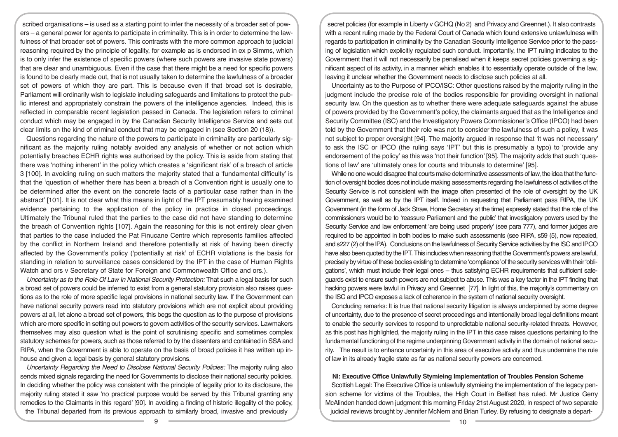scribed organisations – is used as a starting point to infer the necessity of a broader set of powers – a general power for agents to participate in criminality. This is in order to determine the lawfulness of that broader set of powers. This contrasts with the more common approach to judicial reasoning required by the principle of legality, for example as is endorsed in ex p Simms, which is to only infer the existence of specific powers (where such powers are invasive state powers) that are clear and unambiguous. Even if the case that there might be a need for specific powers is found to be clearly made out, that is not usually taken to determine the lawfulness of a broader set of powers of which they are part. This is because even if that broad set is desirable, Parliament will ordinarily wish to legislate including safeguards and limitations to protect the public interest and appropriately constrain the powers of the intelligence agencies. Indeed, this is reflected in comparable recent legislation passed in Canada. The legislation refers to criminal conduct which may be engaged in by the Canadian Security Intelligence Service and sets out clear limits on the kind of criminal conduct that may be engaged in (see Section 20 (18)).

Questions regarding the nature of the powers to participate in criminality are particularly significant as the majority ruling notably avoided any analysis of whether or not action which potentially breaches ECHR rights was authorised by the policy. This is aside from stating that there was 'nothing inherent' in the policy which creates a 'significant risk' of a breach of article 3 [100]. In avoiding ruling on such matters the majority stated that a 'fundamental difficulty' is that the 'question of whether there has been a breach of a Convention right is usually one to be determined after the event on the concrete facts of a particular case rather than in the abstract' [101]. It is not clear what this means in light of the IPT presumably having examined evidence pertaining to the application of the policy in practice in closed proceedings. Ultimately the Tribunal ruled that the parties to the case did not have standing to determine the breach of Convention rights [107]. Again the reasoning for this is not entirely clear given that parties to the case included the Pat Finucane Centre which represents families affected by the conflict in Northern Ireland and therefore potentially at risk of having been directly affected by the Government's policy ('potentially at risk' of ECHR violations is the basis for standing in relation to surveillance cases considered by the IPT in the case of Human Rights Watch and ors v Secretary of State for Foreign and Commonwealth Office and ors.).

*Uncertainty as to the Role Of Law In National Security Protection:* That such a legal basis for such a broad set of powers could be inferred to exist from a general statutory provision also raises questions as to the role of more specific legal provisions in national security law. If the Government can have national security powers read into statutory provisions which are not explicit about providing powers at all, let alone a broad set of powers, this begs the question as to the purpose of provisions which are more specific in setting out powers to govern activities of the security services. Lawmakers themselves may also question what is the point of scrutinising specific and sometimes complex statutory schemes for powers, such as those referred to by the dissenters and contained in SSA and RIPA, when the Government is able to operate on the basis of broad policies it has written up inhouse and given a legal basis by general statutory provisions.

*Uncertainty Regarding the Need to Disclose National Security Policies:* The majority ruling also sends mixed signals regarding the need for Governments to disclose their national security policies. In deciding whether the policy was consistent with the principle of legality prior to its disclosure, the majority ruling stated it saw 'no practical purpose would be served by this Tribunal granting any remedies to the Claimants in this regard' [90]. In avoiding a finding of historic illegality of the policy, the Tribunal departed from its previous approach to similarly broad, invasive and previously

secret policies (for example in Liberty v GCHQ (No 2) and Privacy and Greennet.). It also contrasts with a recent ruling made by the Federal Court of Canada which found extensive unlawfulness with regards to participation in criminality by the Canadian Security Intelligence Service prior to the passing of legislation which explicitly regulated such conduct. Importantly, the IPT ruling indicates to the Government that it will not necessarily be penalised when it keeps secret policies governing a significant aspect of its activity, in a manner which enables it to essentially operate outside of the law, leaving it unclear whether the Government needs to disclose such policies at all.

Uncertainty as to the Purpose of IPCO/ISC: Other questions raised by the majority ruling in the judgment include the precise role of the bodies responsible for providing oversight in national security law. On the question as to whether there were adequate safeguards against the abuse of powers provided by the Government's policy, the claimants argued that as the Intelligence and Security Committee (ISC) and the Investigatory Powers Commissioner's Office (IPCO) had been told by the Government that their role was not to consider the lawfulness of such a policy, it was not subject to proper oversight [94]. The majority argued in response that 'it was not necessary' to ask the ISC or IPCO (the ruling says 'IPT' but this is presumably a typo) to 'provide any endorsement of the policy' as this was 'not their function' [95]. The majority adds that such 'questions of law' are 'ultimately ones for courts and tribunals to determine' [95].

While no one would disagree that courts make determinative assessments of law, the idea that the function of oversight bodies does not include making assessments regarding the lawfulness of activities of the Security Service is not consistent with the image often presented of the role of oversight by the UK Government, as well as by the IPT itself. Indeed in requesting that Parliament pass RIPA, the UK Government (in the form of Jack Straw, Home Secretary at the time) expressly stated that the role of the commissioners would be to 'reassure Parliament and the public' that investigatory powers used by the Security Service and law enforcement 'are being used properly' (see para 777), and former judges are required to be appointed in both bodies to make such assessments (see RIPA, s59 (5), now repealed, and s227 (2) of the IPA). Conclusions on the lawfulness of Security Service activities by the ISC and IPCO have also been quoted by the IPT. This includes when reasoning that the Government's powers are lawful, precisely by virtue of these bodies existing to determine 'compliance' of the security services with their 'obligations', which must include their legal ones – thus satisfying ECHR requirements that sufficient safeguards exist to ensure such powers are not subject to abuse. This was a key factor in the IPT finding that hacking powers were lawful in Privacy and Greennet [77]. In light of this, the majority's commentary on the ISC and IPCO exposes a lack of coherence in the system of national security oversight.

Concluding remarks: It is true that national security litigation is always underpinned by some degree of uncertainty, due to the presence of secret proceedings and intentionally broad legal definitions meant to enable the security services to respond to unpredictable national security-related threats. However, as this post has highlighted, the majority ruling in the IPT in this case raises questions pertaining to the fundamental functioning of the regime underpinning Government activity in the domain of national security. The result is to enhance uncertainty in this area of executive activity and thus undermine the rule of law in its already fragile state as far as national security powers are concerned.

## **NI: Executive Office Unlawfully Stymieing Implementation of Troubles Pension Scheme**

Scottish Legal: The Executive Office is unlawfully stymieing the implementation of the legacy pension scheme for victims of the Troubles, the High Court in Belfast has ruled. Mr Justice Gerry McAlinden handed down judgment this morning Friday 21st August 2020, in respect of two separate judicial reviews brought by Jennifer McNern and Brian Turley. By refusing to designate a depart-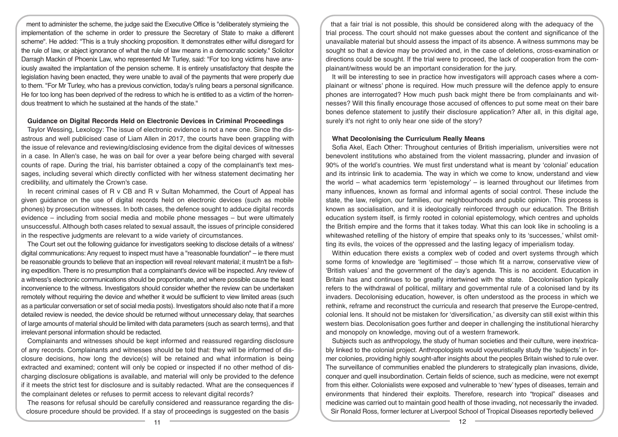ment to administer the scheme, the judge said the Executive Office is "deliberately stymieing the implementation of the scheme in order to pressure the Secretary of State to make a different scheme". He added: "This is a truly shocking proposition. It demonstrates either wilful disregard for the rule of law, or abject ignorance of what the rule of law means in a democratic society." Solicitor Darragh Mackin of Phoenix Law, who represented Mr Turley, said: "For too long victims have anxiously awaited the implantation of the pension scheme. It is entirely unsatisfactory that despite the legislation having been enacted, they were unable to avail of the payments that were properly due to them. "For Mr Turley, who has a previous conviction, today's ruling bears a personal significance. He for too long has been deprived of the redress to which he is entitled to as a victim of the horrendous treatment to which he sustained at the hands of the state."

#### **Guidance on Digital Records Held on Electronic Devices in Criminal Proceedings**

Taylor Wessing, Lexology: The issue of electronic evidence is not a new one. Since the disastrous and well publicised case of Liam Allen in 2017, the courts have been grappling with the issue of relevance and reviewing/disclosing evidence from the digital devices of witnesses in a case. In Allen's case, he was on bail for over a year before being charged with several counts of rape. During the trial, his barrister obtained a copy of the complainant's text messages, including several which directly conflicted with her witness statement decimating her credibility, and ultimately the Crown's case.

In recent criminal cases of R v CB and R v Sultan Mohammed, the Court of Appeal has given guidance on the use of digital records held on electronic devices (such as mobile phones) by prosecution witnesses. In both cases, the defence sought to adduce digital records evidence – including from social media and mobile phone messages – but were ultimately unsuccessful. Although both cases related to sexual assault, the issues of principle considered in the respective judgments are relevant to a wide variety of circumstances.

The Court set out the following guidance for investigators seeking to disclose details of a witness' digital communications: Any request to inspect must have a "reasonable foundation" – ie there must be reasonable grounds to believe that an inspection will reveal relevant material; it mustn't be a fishing expedition. There is no presumption that a complainant's device will be inspected. Any review of a witness's electronic communications should be proportionate, and where possible cause the least inconvenience to the witness. Investigators should consider whether the review can be undertaken remotely without requiring the device and whether it would be sufficient to view limited areas (such as a particular conversation or set of social media posts). Investigators should also note that if a more detailed review is needed, the device should be returned without unnecessary delay, that searches of large amounts of material should be limited with data parameters (such as search terms), and that irrelevant personal information should be redacted.

Complainants and witnesses should be kept informed and reassured regarding disclosure of any records. Complainants and witnesses should be told that: they will be informed of disclosure decisions, how long the device(s) will be retained and what information is being extracted and examined; content will only be copied or inspected if no other method of discharging disclosure obligations is available, and material will only be provided to the defence if it meets the strict test for disclosure and is suitably redacted. What are the consequences if the complainant deletes or refuses to permit access to relevant digital records?

The reasons for refusal should be carefully considered and reassurance regarding the disclosure procedure should be provided. If a stay of proceedings is suggested on the basis

that a fair trial is not possible, this should be considered along with the adequacy of the trial process. The court should not make guesses about the content and significance of the unavailable material but should assess the impact of its absence. A witness summons may be sought so that a device may be provided and, in the case of deletions, cross-examination or directions could be sought. If the trial were to proceed, the lack of cooperation from the complainant/witness would be an important consideration for the jury.

It will be interesting to see in practice how investigators will approach cases where a complainant or witness' phone is required. How much pressure will the defence apply to ensure phones are interrogated? How much push back might there be from complainants and witnesses? Will this finally encourage those accused of offences to put some meat on their bare bones defence statement to justify their disclosure application? After all, in this digital age, surely it's not right to only hear one side of the story?

## **What Decolonising the Curriculum Really Means**

Sofia Akel, Each Other: Throughout centuries of British imperialism, universities were not benevolent institutions who abstained from the violent massacring, plunder and invasion of 90% of the world's countries. We must first understand what is meant by 'colonial' education and its intrinsic link to academia. The way in which we come to know, understand and view the world – what academics term 'epistemology' – is learned throughout our lifetimes from many influences, known as formal and informal agents of social control. These include the state, the law, religion, our families, our neighbourhoods and public opinion. This process is known as socialisation, and it is ideologically reinforced through our education. The British education system itself, is firmly rooted in colonial epistemology, which centres and upholds the British empire and the forms that it takes today. What this can look like in schooling is a whitewashed retelling of the history of empire that speaks only to its 'successes,' whilst omitting its evils, the voices of the oppressed and the lasting legacy of imperialism today.

Within education there exists a complex web of coded and overt systems through which some forms of knowledge are 'legitimised' – those which fit a narrow, conservative view of 'British values' and the government of the day's agenda. This is no accident. Education in Britain has and continues to be greatly intertwined with the state. Decolonisation typically refers to the withdrawal of political, military and governmental rule of a colonised land by its invaders. Decolonising education, however, is often understood as the process in which we rethink, reframe and reconstruct the curricula and research that preserve the Europe-centred, colonial lens. It should not be mistaken for 'diversification,' as diversity can still exist within this western bias. Decolonisation goes further and deeper in challenging the institutional hierarchy and monopoly on knowledge, moving out of a western framework.

Subjects such as anthropology, the study of human societies and their culture, were inextricably linked to the colonial project. Anthropologists would voyeuristically study the 'subjects' in former colonies, providing highly sought-after insights about the peoples Britain wished to rule over. The surveillance of communities enabled the plunderers to strategically plan invasions, divide, conquer and quell insubordination. Certain fields of science, such as medicine, were not exempt from this either. Colonialists were exposed and vulnerable to 'new' types of diseases, terrain and environments that hindered their exploits. Therefore, research into "tropical" diseases and medicine was carried out to maintain good health of those invading, not necessarily the invaded. Sir Ronald Ross, former lecturer at Liverpool School of Tropical Diseases reportedly believed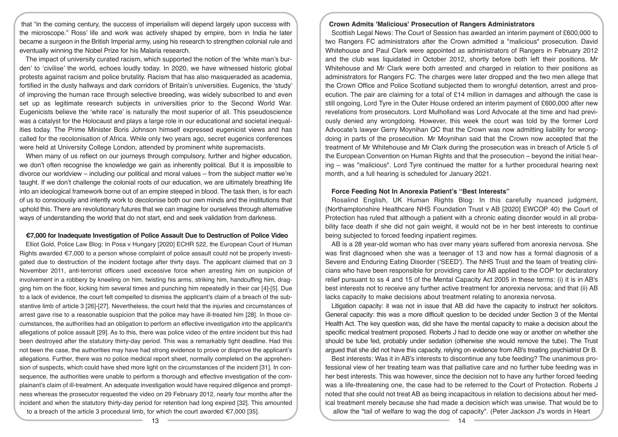that "in the coming century, the success of imperialism will depend largely upon success with the microscope." Ross' life and work was actively shaped by empire, born in India he later became a surgeon in the British Imperial army, using his research to strengthen colonial rule and eventually winning the Nobel Prize for his Malaria research.

The impact of university curated racism, which supported the notion of the 'white man's burden' to 'civilise' the world, echoes loudly today. In 2020, we have witnessed historic global protests against racism and police brutality. Racism that has also masqueraded as academia, fortified in the dusty hallways and dark corridors of Britain's universities. Eugenics, the 'study' of improving the human race through selective breeding, was widely subscribed to and even set up as legitimate research subjects in universities prior to the Second World War. Eugenicists believe the 'white race' is naturally the most superior of all. This pseudoscience was a catalyst for the Holocaust and plays a large role in our educational and societal inequalities today. The Prime Minister Boris Johnson himself expressed eugenicist views and has called for the recolonisation of Africa. While only two years ago, secret eugenics conferences were held at University College London, attended by prominent white supremacists.

When many of us reflect on our journeys through compulsory, further and higher education, we don't often recognise the knowledge we gain as inherently political. But it is impossible to divorce our worldview – including our political and moral values – from the subject matter we're taught. If we don't challenge the colonial roots of our education, we are ultimately breathing life into an ideological framework borne out of an empire steeped in blood. The task then, is for each of us to consciously and intently work to decolonise both our own minds and the institutions that uphold this. There are revolutionary futures that we can imagine for ourselves through alternative ways of understanding the world that do not start, end and seek validation from darkness.

#### **€7,000 for Inadequate Investigation of Police Assault Due to Destruction of Police Video**

Elliot Gold, Police Law Blog: In Posa v Hungary [2020] ECHR 522, the European Court of Human Rights awarded €7,000 to a person whose complaint of police assault could not be properly investigated due to destruction of the incident footage after thirty days. The applicant claimed that on 3 November 2011, anti-terrorist officers used excessive force when arresting him on suspicion of involvement in a robbery by kneeling on him, twisting his arms, striking him, handcuffing him, dragging him on the floor, kicking him several times and punching him repeatedly in their car [4]-[5]. Due to a lack of evidence, the court felt compelled to dismiss the applicant's claim of a breach of the substantive limb of article 3 [26]-[27]. Nevertheless, the court held that the injuries and circumstances of arrest gave rise to a reasonable suspicion that the police may have ill-treated him [28]. In those circumstances, the authorities had an obligation to perform an effective investigation into the applicant's allegations of police assault [29]. As to this, there was police video of the entire incident but this had been destroyed after the statutory thirty-day period. This was a remarkably tight deadline. Had this not been the case, the authorities may have had strong evidence to prove or disprove the applicant's allegations. Further, there was no police medical report sheet, normally completed on the apprehension of suspects, which could have shed more light on the circumstances of the incident [31]. In consequence, the authorities were unable to perform a thorough and effective investigation of the complainant's claim of ill-treatment. An adequate investigation would have required diligence and promptness whereas the prosecutor requested the video on 29 February 2012, nearly four months after the incident and when the statutory thirty-day period for retention had long expired [32]. This amounted to a breach of the article 3 procedural limb, for which the court awarded €7,000 [35].

#### **Crown Admits 'Malicious' Prosecution of Rangers Administrators**

Scottish Legal News: The Court of Session has awarded an interim payment of £600,000 to two Rangers FC administrators after the Crown admitted a "malicious" prosecution. David Whitehouse and Paul Clark were appointed as administrators of Rangers in February 2012 and the club was liquidated in October 2012, shortly before both left their positions. Mr Whitehouse and Mr Clark were both arrested and charged in relation to their positions as administrators for Rangers FC. The charges were later dropped and the two men allege that the Crown Office and Police Scotland subjected them to wrongful detention, arrest and prosecution. The pair are claiming for a total of £14 million in damages and although the case is still ongoing, Lord Tyre in the Outer House ordered an interim payment of £600,000 after new revelations from prosecutors. Lord Mulholland was Lord Advocate at the time and had previously denied any wrongdoing. However, this week the court was told by the former Lord Advocate's lawyer Gerry Moynihan QC that the Crown was now admitting liability for wrongdoing in parts of the prosecution. Mr Moynihan said that the Crown now accepted that the treatment of Mr Whitehouse and Mr Clark during the prosecution was in breach of Article 5 of the European Convention on Human Rights and that the prosecution – beyond the initial hearing – was "malicious". Lord Tyre continued the matter for a further procedural hearing next month, and a full hearing is scheduled for January 2021.

## **Force Feeding Not In Anorexia Patient's "Best Interests"**

Rosalind English, UK Human Rights Blog: In this carefully nuanced judgment, (Northamptonshire Healthcare NHS Foundation Trust v AB [2020] EWCOP 40) the Court of Protection has ruled that although a patient with a chronic eating disorder would in all probability face death if she did not gain weight, it would not be in her best interests to continue being subjected to forced feeding inpatient regimes.

AB is a 28 year-old woman who has over many years suffered from anorexia nervosa. She was first diagnosed when she was a teenager of 13 and now has a formal diagnosis of a Severe and Enduring Eating Disorder ('SEED'). The NHS Trust and the team of treating clinicians who have been responsible for providing care for AB applied to the COP for declaratory relief pursuant to ss 4 and 15 of the Mental Capacity Act 2005 in these terms: (i) it is in AB's best interests not to receive any further active treatment for anorexia nervosa; and that (ii) AB lacks capacity to make decisions about treatment relating to anorexia nervosa.

Litigation capacity: it was not in issue that AB did have the capacity to instruct her solicitors. General capacity: this was a more difficult question to be decided under Section 3 of the Mental Health Act. The key question was, did she have the mental capacity to make a decision about the specific medical treatment proposed. Roberts J had to decide one way or another on whether she should be tube fed, probably under sedation (otherwise she would remove the tube). The Trust argued that she did not have this capacity, relying on evidence from AB's treating psychiatrist Dr B.

Best interests: Was it in AB's interests to discontinue any tube feeding? The unanimous professional view of her treating team was that palliative care and no further tube feeding was in her best interests. This was however, since the decision not to have any further forced feeding was a life-threatening one, the case had to be referred to the Court of Protection. Roberts J noted that she could not treat AB as being incapacitous in relation to decisions about her medical treatment merely because she had made a decision which was unwise. That would be to allow the "tail of welfare to wag the dog of capacity". (Peter Jackson J's words in Heart